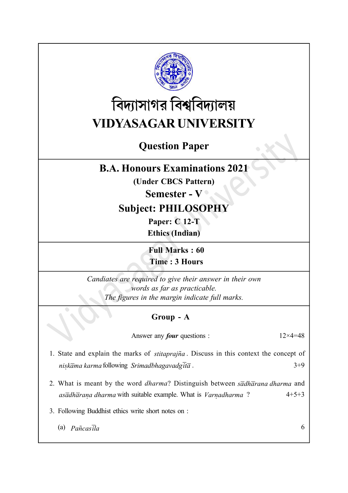

# বিদ্যাসাগর বিশ্ববিদ্যালয় VIDYASAGAR UNIVERSITY

## Question Paper

#### B.A. Honours Examinations 2021

(Under CBCS Pattern)

Semester - V

### Subject: PHILOSOPHY

Paper: C 12-T Ethics (Indian)

Full Marks : 60 Time : 3 Hours

Candiates are required to give their answer in their own words as far as practicable. The figures in the margin indicate full marks.

#### Group - A

Answer any *four* questions :  $12 \times 4 = 48$ 

- 1. State and explain the marks of *stitaprajna*. Discuss in this context the concept of nisk $\overline{a}$ ma karma following Srimadbhagavadg $\overline{a}$  .  $3+9$ Î.
- 2. What is meant by the word *dharma*? Distinguish between  $s\bar{a}dh\bar{a}r$  and and asadharana dharma with suitable example. What is Varnadharma Î, Ĵ.  $4+5+3$
- 3. Following Buddhist ethics write short notes on :
	- (a)  $P\tilde{a} \tilde{n} \tilde{c} a s \tilde{l} a$  6